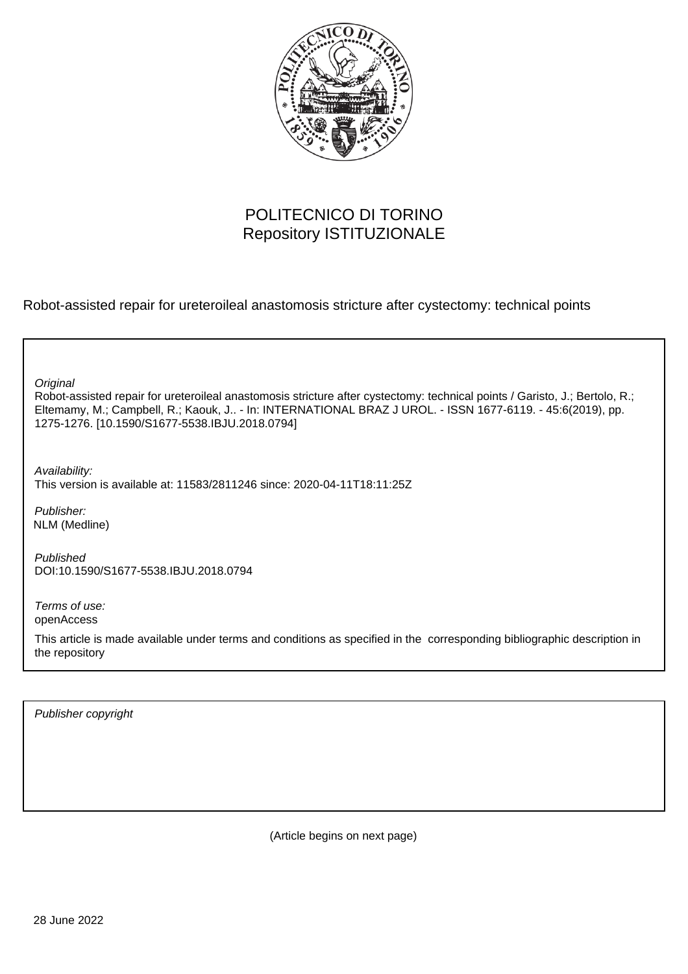

### POLITECNICO DI TORINO Repository ISTITUZIONALE

Robot-assisted repair for ureteroileal anastomosis stricture after cystectomy: technical points

Robot-assisted repair for ureteroileal anastomosis stricture after cystectomy: technical points / Garisto, J.; Bertolo, R.; Eltemamy, M.; Campbell, R.; Kaouk, J.. - In: INTERNATIONAL BRAZ J UROL. - ISSN 1677-6119. - 45:6(2019), pp. 1275-1276. [10.1590/S1677-5538.IBJU.2018.0794] **Original** Publisher: Published DOI:10.1590/S1677-5538.IBJU.2018.0794 Terms of use: openAccess This article is made available under terms and conditions as specified in the corresponding bibliographic description in the repository Availability: This version is available at: 11583/2811246 since: 2020-04-11T18:11:25Z NLM (Medline)

Publisher copyright

(Article begins on next page)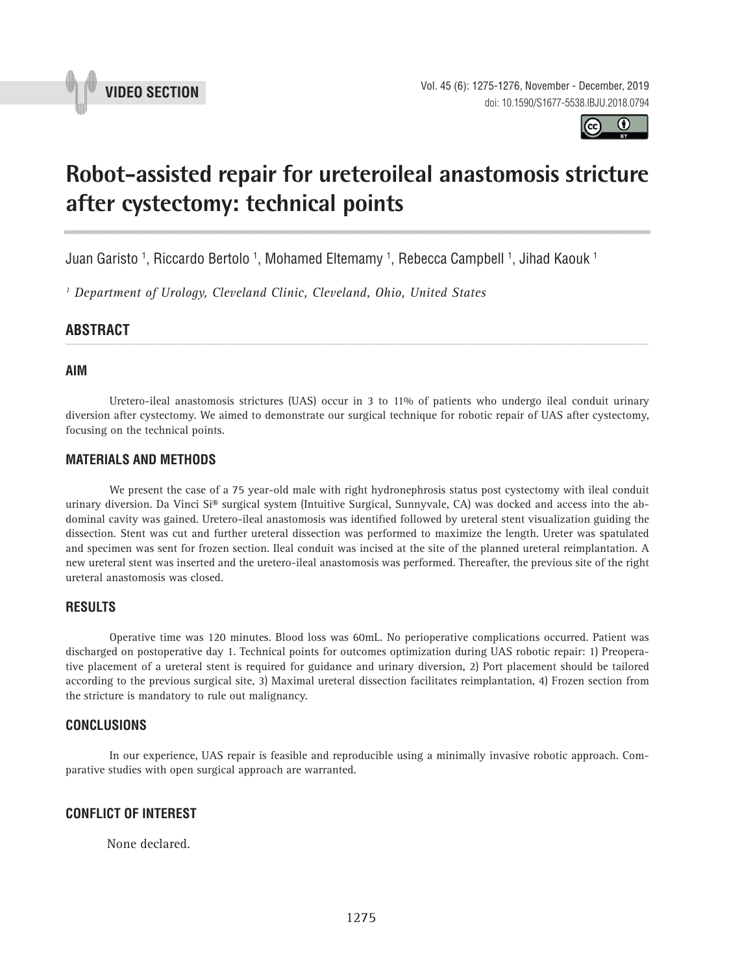



# **Robot-assisted repair for ureteroileal anastomosis stricture after cystectomy: technical points \_\_\_\_\_\_\_\_\_\_\_\_\_\_\_\_\_\_\_\_\_\_\_\_\_\_\_\_\_\_\_\_\_\_\_\_\_\_\_\_\_\_\_\_\_\_\_**

Juan Garisto <sup>1</sup>, Riccardo Bertolo <sup>1</sup>, Mohamed Eltemamy <sup>1</sup>, Rebecca Campbell <sup>1</sup>, Jihad Kaouk <sup>1</sup>

*1 Department of Urology, Cleveland Clinic, Cleveland, Ohio, United States*

## **ABSTRACT** *\_\_\_\_\_\_\_\_\_\_\_\_\_\_\_\_\_\_\_\_\_\_\_\_\_\_\_\_\_\_\_\_\_\_\_\_\_\_\_\_\_\_\_\_\_\_\_\_\_\_\_\_\_\_\_\_\_\_\_\_\_\_\_\_\_\_\_\_\_\_\_\_\_\_\_\_\_\_\_\_\_\_\_\_\_\_\_*

#### **AIM**

Uretero-ileal anastomosis strictures (UAS) occur in 3 to 11% of patients who undergo ileal conduit urinary diversion after cystectomy. We aimed to demonstrate our surgical technique for robotic repair of UAS after cystectomy, focusing on the technical points.

#### **MATERIALS AND METHODS**

We present the case of a 75 year-old male with right hydronephrosis status post cystectomy with ileal conduit urinary diversion. Da Vinci Si® surgical system (Intuitive Surgical, Sunnyvale, CA) was docked and access into the abdominal cavity was gained. Uretero-ileal anastomosis was identified followed by ureteral stent visualization guiding the dissection. Stent was cut and further ureteral dissection was performed to maximize the length. Ureter was spatulated and specimen was sent for frozen section. Ileal conduit was incised at the site of the planned ureteral reimplantation. A new ureteral stent was inserted and the uretero-ileal anastomosis was performed. Thereafter, the previous site of the right ureteral anastomosis was closed.

#### **RESULTS**

Operative time was 120 minutes. Blood loss was 60mL. No perioperative complications occurred. Patient was discharged on postoperative day 1. Technical points for outcomes optimization during UAS robotic repair: 1) Preoperative placement of a ureteral stent is required for guidance and urinary diversion, 2) Port placement should be tailored according to the previous surgical site, 3) Maximal ureteral dissection facilitates reimplantation, 4) Frozen section from the stricture is mandatory to rule out malignancy.

#### **CONCLUSIONS**

In our experience, UAS repair is feasible and reproducible using a minimally invasive robotic approach. Comparative studies with open surgical approach are warranted.

#### **CONFLICT OF INTEREST**

None declared.